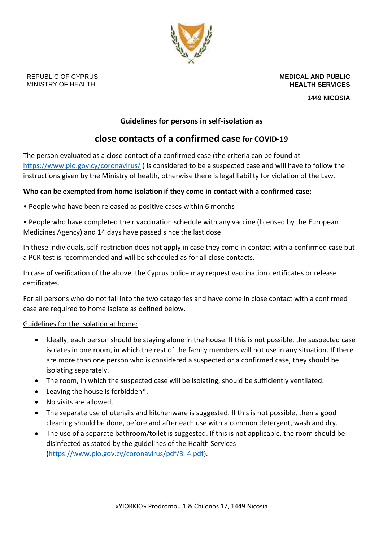

**MEDICAL AND PUBLIC HEALTH SERVICES**

**1449 NICOSIA**

## **Guidelines for persons in self-isolation as**

# **close contacts of a confirmed case for COVID-19**

The person evaluated as a close contact of a confirmed case (the criteria can be found at <https://www.pio.gov.cy/coronavirus/> ) is considered to be a suspected case and will have to follow the instructions given by the Ministry of health, otherwise there is legal liability for violation of the Law.

### **Who can be exempted from home isolation if they come in contact with a confirmed case:**

- People who have been released as positive cases within 6 months
- People who have completed their vaccination schedule with any vaccine (licensed by the European Medicines Agency) and 14 days have passed since the last dose

In these individuals, self-restriction does not apply in case they come in contact with a confirmed case but a PCR test is recommended and will be scheduled as for all close contacts.

In case of verification of the above, the Cyprus police may request vaccination certificates or release certificates.

For all persons who do not fall into the two categories and have come in close contact with a confirmed case are required to home isolate as defined below.

#### Guidelines for the isolation at home:

- Ideally, each person should be staying alone in the house. If this is not possible, the suspected case isolates in one room, in which the rest of the family members will not use in any situation. If there are more than one person who is considered a suspected or a confirmed case, they should be isolating separately.
- The room, in which the suspected case will be isolating, should be sufficiently ventilated.
- Leaving the house is forbidden\*.
- No visits are allowed.
- The separate use of utensils and kitchenware is suggested. If this is not possible, then a good cleaning should be done, before and after each use with a common detergent, wash and dry.
- The use of a separate bathroom/toilet is suggested. If this is not applicable, the room should be disinfected as stated by the guidelines of the Health Services [\(https://www.pio.gov.cy/coronavirus/pdf/3\\_4.pdf\)](https://www.pio.gov.cy/coronavirus/pdf/3_4.pdf).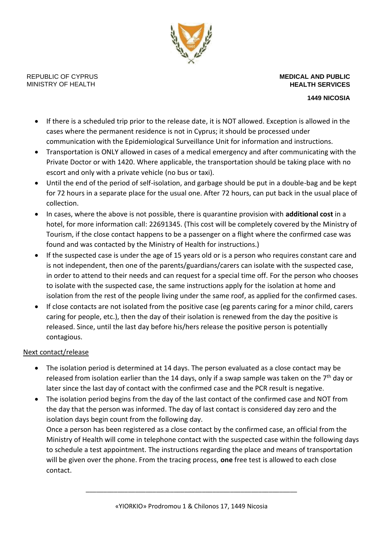

**MEDICAL AND PUBLIC HEALTH SERVICES**

**1449 NICOSIA**

- If there is a scheduled trip prior to the release date, it is NOT allowed. Exception is allowed in the cases where the permanent residence is not in Cyprus; it should be processed under communication with the Epidemiological Surveillance Unit for information and instructions.
- Transportation is ONLY allowed in cases of a medical emergency and after communicating with the Private Doctor or with 1420. Where applicable, the transportation should be taking place with no escort and only with a private vehicle (no bus or taxi).
- Until the end of the period of self-isolation, and garbage should be put in a double-bag and be kept for 72 hours in a separate place for the usual one. After 72 hours, can put back in the usual place of collection.
- In cases, where the above is not possible, there is quarantine provision with **additional cost** in a hotel, for more information call: 22691345. (This cost will be completely covered by the Ministry of Tourism, if the close contact happens to be a passenger on a flight where the confirmed case was found and was contacted by the Ministry of Health for instructions.)
- If the suspected case is under the age of 15 years old or is a person who requires constant care and is not independent, then one of the parents/guardians/carers can isolate with the suspected case, in order to attend to their needs and can request for a special time off. For the person who chooses to isolate with the suspected case, the same instructions apply for the isolation at home and isolation from the rest of the people living under the same roof, as applied for the confirmed cases.
- If close contacts are not isolated from the positive case (eg parents caring for a minor child, carers caring for people, etc.), then the day of their isolation is renewed from the day the positive is released. Since, until the last day before his/hers release the positive person is potentially contagious.

#### Next contact/release

- The isolation period is determined at 14 days. The person evaluated as a close contact may be released from isolation earlier than the 14 days, only if a swap sample was taken on the  $7<sup>th</sup>$  day or later since the last day of contact with the confirmed case and the PCR result is negative.
- The isolation period begins from the day of the last contact of the confirmed case and NOT from the day that the person was informed. The day of last contact is considered day zero and the isolation days begin count from the following day.

Once a person has been registered as a close contact by the confirmed case, an official from the Ministry of Health will come in telephone contact with the suspected case within the following days to schedule a test appointment. The instructions regarding the place and means of transportation will be given over the phone. From the tracing process, **one** free test is allowed to each close contact.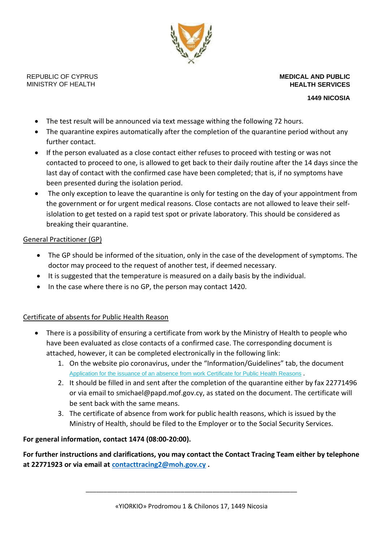

**MEDICAL AND PUBLIC HEALTH SERVICES**

**1449 NICOSIA**

- The test result will be announced via text message withing the following 72 hours.
- The quarantine expires automatically after the completion of the quarantine period without any further contact.
- If the person evaluated as a close contact either refuses to proceed with testing or was not contacted to proceed to one, is allowed to get back to their daily routine after the 14 days since the last day of contact with the confirmed case have been completed; that is, if no symptoms have been presented during the isolation period.
- The only exception to leave the quarantine is only for testing on the day of your appointment from the government or for urgent medical reasons. Close contacts are not allowed to leave their selfislolation to get tested on a rapid test spot or private laboratory. This should be considered as breaking their quarantine.

#### General Practitioner (GP)

- The GP should be informed of the situation, only in the case of the development of symptoms. The doctor may proceed to the request of another test, if deemed necessary.
- It is suggested that the temperature is measured on a daily basis by the individual.
- In the case where there is no GP, the person may contact 1420.

#### Certificate of absents for Public Health Reason

- There is a possibility of ensuring a certificate from work by the Ministry of Health to people who have been evaluated as close contacts of a confirmed case. The corresponding document is attached, however, it can be completed electronically in the following link:
	- 1. On the website pio coronavirus, under the "Information/Guidelines" tab, the document [Application for the issuance of an absence from work Certificate for Public Health Reasons](https://www.pio.gov.cy/coronavirus/press/23032020_e.docx) .
	- 2. It should be filled in and sent after the completion of the quarantine either by fax 22771496 or via email to [smichael@papd.mof.gov.cy,](mailto:smichael@papd.mof.gov.cy) as stated on the document. The certificate will be sent back with the same means.
	- 3. The certificate of absence from work for public health reasons, which is issued by the Ministry of Health, should be filed to the Employer or to the Social Security Services.

#### **For general information, contact 1474 (08:00-20:00).**

**For further instructions and clarifications, you may contact the Contact Tracing Team either by telephone at 22771923 or via email at [contacttracing2@moh.gov.cy](mailto:contacttracing2@moh.gov.cy) .**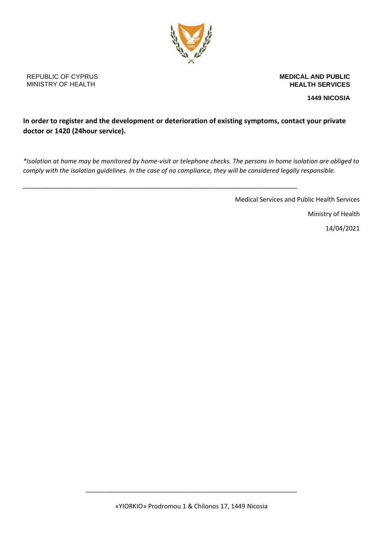

**MEDICAL AND PUBLIC HEALTH SERVICES**

**1449 NICOSIA**

## **In order to register and the development or deterioration of existing symptoms, contact your private doctor or 1420 (24hour service).**

*\*Isolation at home may be monitored by home-visit or telephone checks. The persons in home isolation are obliged to comply with the isolation guidelines. In the case of no compliance, they will be considered legally responsible.* 

*\_\_\_\_\_\_\_\_\_\_\_\_\_\_\_\_\_\_\_\_\_\_\_\_\_\_\_\_\_\_\_\_\_\_\_\_\_\_\_\_\_\_\_\_\_\_\_\_\_\_\_\_\_\_\_\_\_\_\_\_\_\_\_\_\_\_\_\_\_\_\_\_\_\_\_\_\_\_*

Medical Services and Public Health Services

Ministry of Health

14/04/2021